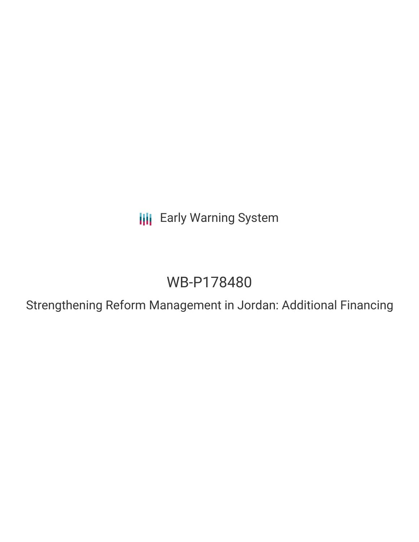**III** Early Warning System

# WB-P178480

Strengthening Reform Management in Jordan: Additional Financing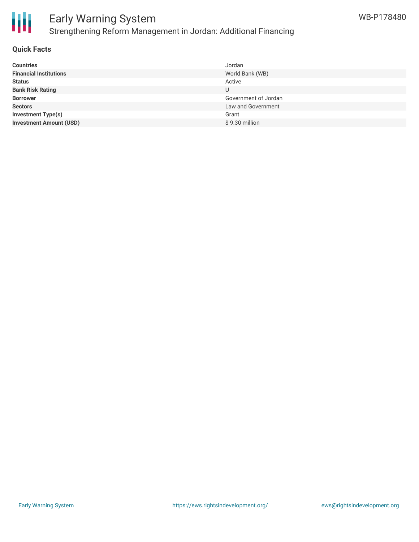

## Early Warning System Strengthening Reform Management in Jordan: Additional Financing

#### **Quick Facts**

| <b>Countries</b>               | Jordan               |
|--------------------------------|----------------------|
| <b>Financial Institutions</b>  | World Bank (WB)      |
| <b>Status</b>                  | Active               |
| <b>Bank Risk Rating</b>        | U                    |
| <b>Borrower</b>                | Government of Jordan |
| <b>Sectors</b>                 | Law and Government   |
| <b>Investment Type(s)</b>      | Grant                |
| <b>Investment Amount (USD)</b> | \$9.30 million       |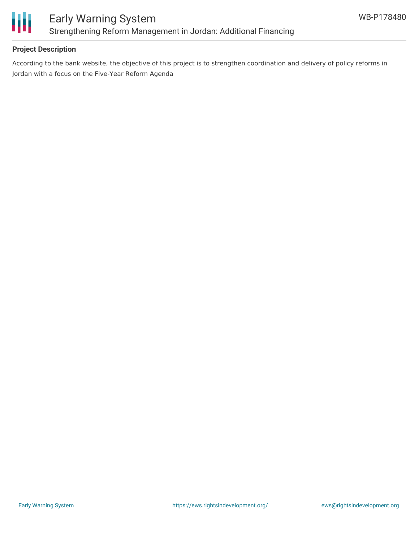

### **Project Description**

According to the bank website, the objective of this project is to strengthen coordination and delivery of policy reforms in Jordan with a focus on the Five-Year Reform Agenda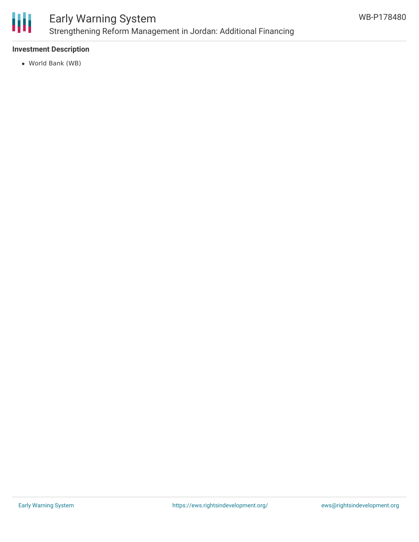

# Early Warning System Strengthening Reform Management in Jordan: Additional Financing

### **Investment Description**

World Bank (WB)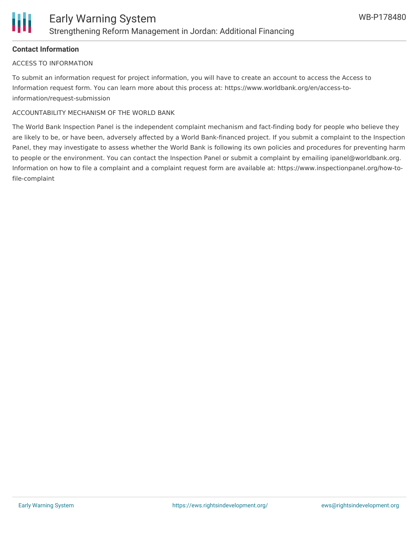

#### **Contact Information**

#### ACCESS TO INFORMATION

To submit an information request for project information, you will have to create an account to access the Access to Information request form. You can learn more about this process at: https://www.worldbank.org/en/access-toinformation/request-submission

#### ACCOUNTABILITY MECHANISM OF THE WORLD BANK

The World Bank Inspection Panel is the independent complaint mechanism and fact-finding body for people who believe they are likely to be, or have been, adversely affected by a World Bank-financed project. If you submit a complaint to the Inspection Panel, they may investigate to assess whether the World Bank is following its own policies and procedures for preventing harm to people or the environment. You can contact the Inspection Panel or submit a complaint by emailing ipanel@worldbank.org. Information on how to file a complaint and a complaint request form are available at: https://www.inspectionpanel.org/how-tofile-complaint